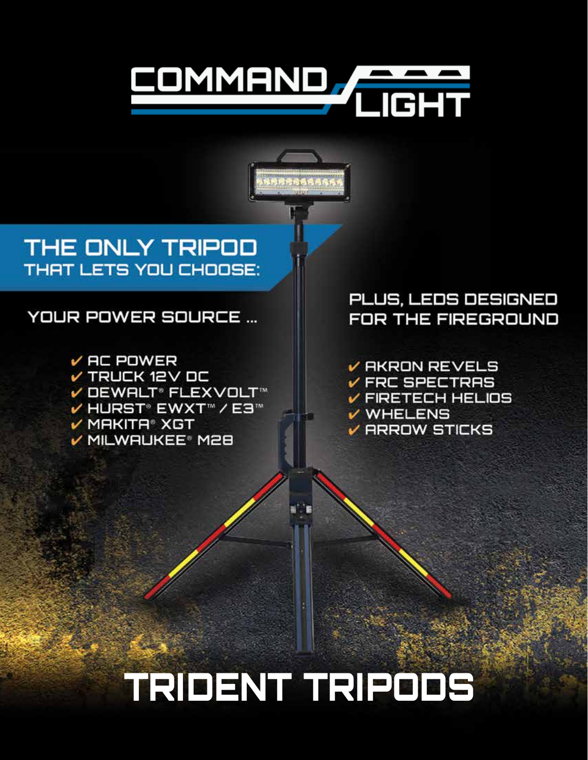# **TRIDENT TRIPODS**

V DEWALT® FLEXVOLT™ V HURST® EWXT™ / E3™  $V$  MAKITA® XGT V MILWAUKEE® M28

### **YOUR POWER SOURCE ...**

V TRUCK 12V DC

 $V$  AC POWER

THE ONLY TRIPOD **THAT LETS YOU CHOOSE:** 

### PLUS, LEDS DESIGNED **FOR THE FIREGROUND**

 $\nu$  AKRON REVELS  $V$  FRC SPECTRAS  $V$  FIRETECH HELIOS V WHELENS  $\nu$  ARROW STICKS

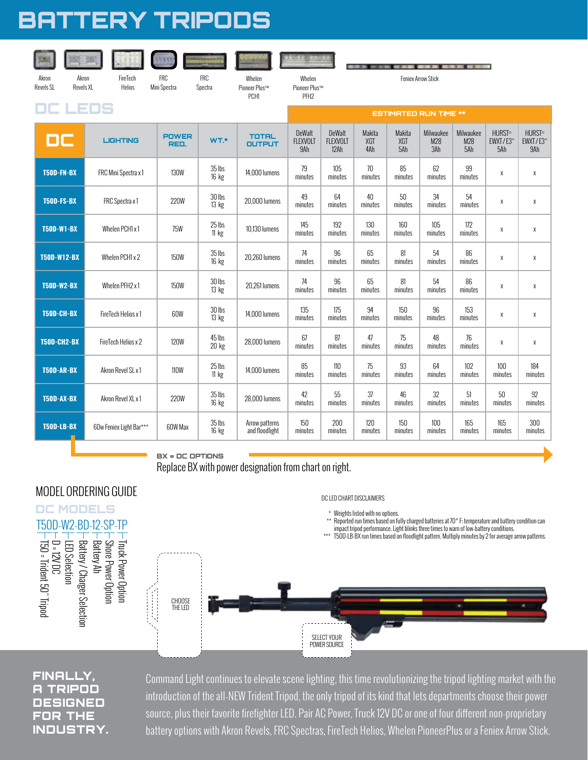## BATTERY TRIPODS

| Akron<br>Akron<br>Revels XL<br>Revels SL | FireTech<br>Helios      | <b>FRC</b><br>Mini Spectra | <b>FRC</b><br>Spectra     | Whelen<br>Pioneer Plus™<br>PCH1  | Whelen<br>Pioneer Plus™<br>PFH <sub>2</sub> |                                          |                      |                      | <b>Feniex Arrow Stick</b> | <b>COLUMN 1885 REPORTS</b> |                                  |                                             |
|------------------------------------------|-------------------------|----------------------------|---------------------------|----------------------------------|---------------------------------------------|------------------------------------------|----------------------|----------------------|---------------------------|----------------------------|----------------------------------|---------------------------------------------|
| EDS                                      |                         |                            |                           |                                  |                                             | <b>ESTIMATED RUN TIME **</b>             |                      |                      |                           |                            |                                  |                                             |
| DC                                       | <b>LIGHTING</b>         | <b>POWER</b><br>REQ.       | WT.*                      | <b>TOTAL</b><br><b>OUTPUT</b>    | DeWalt<br><b>FLEXVOLT</b><br>9Ah            | <b>DeWalt</b><br><b>FLEXVOLT</b><br>12Ah | Makita<br>XGT<br>4Ah | Makita<br>XGT<br>5Ah | Milwaukee<br>M28<br>3Ah   | Milwaukee<br>M28<br>5Ah    | <b>HURST®</b><br>EWXT/E3™<br>5Ah | <b>HURST<sup>®</sup></b><br>EWXT/E3™<br>9Ah |
| T50D-FN-BX                               | FRC Mini Spectra x 1    | <b>130W</b>                | 35 lbs<br>16 kg           | 14,000 lumens                    | 79<br>minutes                               | 105<br>minutes                           | 70<br>minutes        | 85<br>minutes        | 62<br>minutes             | 99<br>minutes              | χ                                | χ                                           |
| T50D-FS-BX                               | FRC Spectra x1          | <b>220W</b>                | 30 lbs<br>13 kg           | 20,000 lumens                    | 49<br>minutes                               | 64<br>minutes                            | 40<br>minutes        | 50<br>minutes        | 34<br>minutes             | 54<br>minutes              | X                                | χ                                           |
| <b>T50D-W1-BX</b>                        | Whelen PCH1 x 1         | <b>75W</b>                 | 25 lbs<br>$11 \text{ kg}$ | 10.130 lumens                    | 145<br>minutes                              | 192<br>minutes                           | 130<br>minutes       | 160<br>minutes       | 105<br>minutes            | 172<br>minutes             | χ                                | χ                                           |
| <b>T50D-W12-BX</b>                       | Whelen PCH1 x 2         | <b>150W</b>                | 35 lbs<br>$16$ kg         | 20,260 lumens                    | 74<br>minutes                               | 96<br>minutes                            | 65<br>minutes        | 81<br>minutes        | 54<br>minutes             | 86<br>minutes              | X                                | χ                                           |
| <b>T50D-W2-BX</b>                        | Whelen PFH2 x1          | <b>150W</b>                | 30 lbs<br>13 kg           | 20.261 lumens                    | 74<br>minutes                               | 96<br>minutes                            | 65<br>minutes        | 81<br>minutes        | 54<br>minutes             | 86<br>minutes              | X                                | χ                                           |
| T50D-CH-BX                               | FireTech Helios x 1     | 60W                        | 30 lbs<br>13 kg           | 14,000 lumens                    | 135<br>minutes                              | 175<br>minutes                           | 94<br>minutes        | 150<br>minutes       | 96<br>minutes             | 153<br>minutes             | X                                | χ                                           |
| <b>T50D-CH2-BX</b>                       | FireTech Helios x 2     | <b>120W</b>                | 45 lbs<br>$20$ kg         | 28,000 lumens                    | 67<br>minutes                               | 87<br>minutes                            | 47<br>minutes        | 75<br>minutes        | 48<br>minutes             | 76<br>minutes              | X                                | χ                                           |
| <b>T50D-AR-BX</b>                        | Akron Revel SL x 1      | <b>110W</b>                | 25 lbs<br>11 kg           | 14,000 lumens                    | 85<br>minutes                               | 110<br>minutes                           | 75<br>minutes        | 93<br>minutes        | 64<br>minutes             | 102<br>minutes             | 100<br>minutes                   | 184<br>minutes                              |
| T50D-AX-BX                               | Akron Revel XL x 1      | <b>220W</b>                | 35 lbs<br>$16$ kg         | 28.000 lumens                    | 42<br>minutes                               | 55<br>minutes                            | 37<br>minutes        | 46<br>minutes        | 32<br>minutes             | 51<br>minutes              | 50<br>minutes                    | 92<br>minutes                               |
| <b>T50D-LB-BX</b>                        | 60w Feniex Light Bar*** | 60W Max                    | 35 lbs<br>$16$ kg         | Arrow patterns<br>and floodlight | 150<br>minutes                              | 200<br>minutes                           | 120<br>minutes       | 150<br>minutes       | 100<br>minutes            | 165<br>minutes             | 165<br>minutes                   | 300<br>minutes                              |

 $BX = DC$  OPTIONS

Replace BX with power designation from chart on right.

#### MODEL ORDERING GUIDE

T50 = Trident 50" Tripod TP Truck Power Option<br>
The Bower Option<br>
The Bower Construction<br>
The Bower Construction<br>
The Bower Charger Select<br>
The Bower Charger Select<br>
The Property Construction<br>
The Property Construction<br>
The Property Construction<br> – Truck Power Option<br>– Shore Power Option<br>– Battery Ah<br>– Battery / Charger Selection<br>– LED Selection<br>– D = 12V DC DC MODELS



#### FINALLY, A TRIPOD DESIGNED FOR THE INDUSTRY.

Command Light continues to elevate scene lighting, this time revolutionizing the tripod lighting market with the introduction of the all-NEW Trident Tripod, the only tripod of its kind that lets departments choose their power source, plus their favorite firefighter LED. Pair AC Power, Truck 12V DC or one of four different non-proprietary battery options with Akron Revels, FRC Spectras, FireTech Helios, Whelen PioneerPlus or a Feniex Arrow Stick.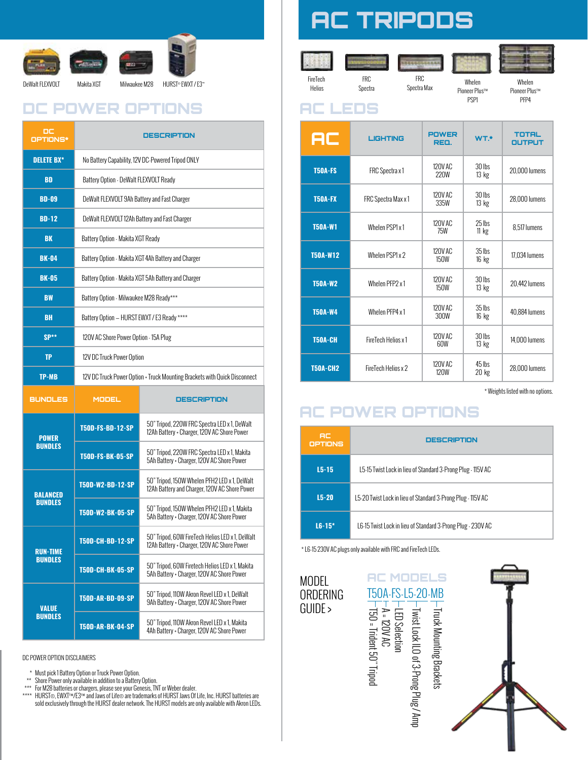

### DC POWER OPTIONS AC LEDS

| DС<br>OPTIONS*                    | DESCRIPTION                                                               |                                                                                                |  |  |  |  |
|-----------------------------------|---------------------------------------------------------------------------|------------------------------------------------------------------------------------------------|--|--|--|--|
| <b>DELETE BX*</b>                 | No Battery Capability, 12V DC-Powered Tripod ONLY                         |                                                                                                |  |  |  |  |
| BD                                | Battery Option - DeWalt FLEXVOLT Ready                                    |                                                                                                |  |  |  |  |
| <b>BD-09</b>                      | DeWalt FLEXVOLT 9Ah Battery and Fast Charger                              |                                                                                                |  |  |  |  |
| $BD-12$                           | DeWalt FLEXVOLT 12Ah Battery and Fast Charger                             |                                                                                                |  |  |  |  |
| BK                                | Battery Option - Makita XGT Ready                                         |                                                                                                |  |  |  |  |
| <b>BK-04</b>                      | Battery Option - Makita XGT 4Ah Battery and Charger                       |                                                                                                |  |  |  |  |
| <b>BK-05</b>                      | Battery Option - Makita XGT 5Ah Battery and Charger                       |                                                                                                |  |  |  |  |
| <b>BW</b>                         | Battery Option - Milwaukee M28 Ready***                                   |                                                                                                |  |  |  |  |
| BH                                | Battery Option - HURST EWXT / E3 Ready ****                               |                                                                                                |  |  |  |  |
| $SP**$                            | 120V AC Shore Power Option - 15A Plug                                     |                                                                                                |  |  |  |  |
| <b>TP</b>                         | 12V DC Truck Power Option                                                 |                                                                                                |  |  |  |  |
| <b>TP-MB</b>                      | 12V DC Truck Power Option + Truck Mounting Brackets with Quick Disconnect |                                                                                                |  |  |  |  |
| <b>BUNDLES</b>                    | <b>MODEL</b><br><b>DESCRIPTION</b>                                        |                                                                                                |  |  |  |  |
| <b>POWER</b>                      | <b>T50D-FS-BD-12-SP</b>                                                   | 50" Tripod, 220W FRC Spectra LED x 1, DeWalt<br>12Ah Battery + Charger, 120V AC Shore Power    |  |  |  |  |
| <b>BUNDLES</b>                    | <b>T50D-FS-BK-05-SP</b>                                                   | 50" Tripod, 220W FRC Spectra LED x 1, Makita<br>5Ah Battery + Charger, 120V AC Shore Power     |  |  |  |  |
| <b>BALANCED</b>                   | T50D-W2-BD-12-SP                                                          | 50" Tripod, 150W Whelen PFH2 LED x 1, DeWalt<br>12Ah Battery and Charger, 120V AC Shore Power  |  |  |  |  |
| <b>BUNDLES</b>                    |                                                                           |                                                                                                |  |  |  |  |
|                                   | T50D-W2-BK-05-SP                                                          | 50" Tripod, 150W Whelen PFH2 LED x 1, Makita<br>5Ah Battery + Charger, 120V AC Shore Power     |  |  |  |  |
|                                   | <b>T50D-CH-BD-12-SP</b>                                                   | 50" Tripod, 60W FireTech Helios LED x 1, DeWalt<br>12Ah Battery + Charger, 120V AC Shore Power |  |  |  |  |
| <b>RUN-TIME</b><br><b>BUNDLES</b> | <b>T50D-CH-BK-05-SP</b>                                                   | 50" Tripod, 60W Firetech Helios LED x 1, Makita<br>5Ah Battery + Charger, 120V AC Shore Power  |  |  |  |  |
| <b>VALUE</b>                      | <b>T50D-AR-BD-09-SP</b>                                                   | 50" Tripod, 110W Akron Revel LED x 1, DeWalt<br>9Ah Battery + Charger, 120V AC Shore Power     |  |  |  |  |

DC POWER OPTION DISCLAIMERS

- 
- 
- \* Must pick 1 Battery Option or Truck Power Option.<br>\*\* Shore Power only available in addition to a Battery Option.<br>\*\*\* For M28 batteries or chargers, please see your Genesis, TNT or Weber dealer.<br>\*\*\*\* HURST®, EWXT™/E3™ and
- sold exclusively through the HURST dealer network. The HURST models are only available with Akron LEDs.

## AC TRIPODS

FireTech Helios

FRC Spectra Spectra Max

FRC

Whelen Pioneer Plus™ PSP1

Whelen Pioneer Plus™ PFP4

| AC              | <b>LIGHTING</b>     | <b>POWER</b><br>REQ.   | WT.*                | <b>TOTAL</b><br><b>OUTPUT</b> |  |
|-----------------|---------------------|------------------------|---------------------|-------------------------------|--|
| <b>T50A-FS</b>  | FRC Spectra x 1     | 120V AC<br><b>220W</b> | $30$ lbs<br>13 kg   | 20,000 lumens                 |  |
| <b>T50A-FX</b>  | FRC Spectra Max x 1 | 120V AC<br>335W        | $30$ lbs<br>13 kg   | 28,000 lumens                 |  |
| <b>T50A-W1</b>  | Whelen PSP1 x 1     | 120V AC<br>75W         | $25$ lhs<br>11 $kg$ | 8,517 lumens                  |  |
| <b>T50A-W12</b> | Whelen PSP1 x 2     | 120V AC<br><b>150W</b> | $35$ lbs<br>16 kg   | 17,034 lumens                 |  |
| <b>T50A-W2</b>  | Whelen PFP2 x1      | 120V AC<br><b>150W</b> | $30$ lbs<br>13 kg   | 20,442 lumens                 |  |
| <b>T50A-W4</b>  | Whelen PFP4 x 1     | 120V AC<br>300W        | $35$ lbs<br>16 kg   | 40,884 lumens                 |  |
| <b>T50A-CH</b>  | FireTech Helios x 1 | 120V AC<br>60W         | $30$ lbs<br>13 kg   | 14,000 lumens                 |  |
| <b>T50A-CH2</b> | FireTech Helios x 2 | 120V AC<br>120W        | 45 lbs<br>$20$ kg   | 28.000 lumens                 |  |

\* Weights listed with no options.

#### AC POWER OPTIONS

| 8C<br>OPTIONS | DESCRIPTION                                                 |  |  |
|---------------|-------------------------------------------------------------|--|--|
| $L5 - 15$     | L5-15 Twist Lock in lieu of Standard 3-Prong Plug - 115V AC |  |  |
| $L5-20$       | L5-20 Twist Lock in lieu of Standard 3-Prong Plug - 115V AC |  |  |
| $16 - 15$     | L6-15 Twist Lock in lieu of Standard 3-Prong Plug - 230V AC |  |  |

Truck Mounting Brackets<br>Twist Lock ILO of 3-Prong Plug / Amp

\* L6-15 230V AC plugs only available with FRC and FireTech LEDs.

MODEL **AC MODELS** T50A-FS-L5-20-MB<br>
T50A-FS-L5-20-MB<br>
T50A-FS-L5-20-MB<br>
T50A-FS-L5-20-MB<br>
T50A-FS-L5-20-MB<br>
T50A-FS-L5-20-MB<br>
T50A-FS-L5-20-MB **ORDERING** GUIDE >  $-$  T50  $=$  Trident 50" Tripod T50 = Trident 50" Tripod